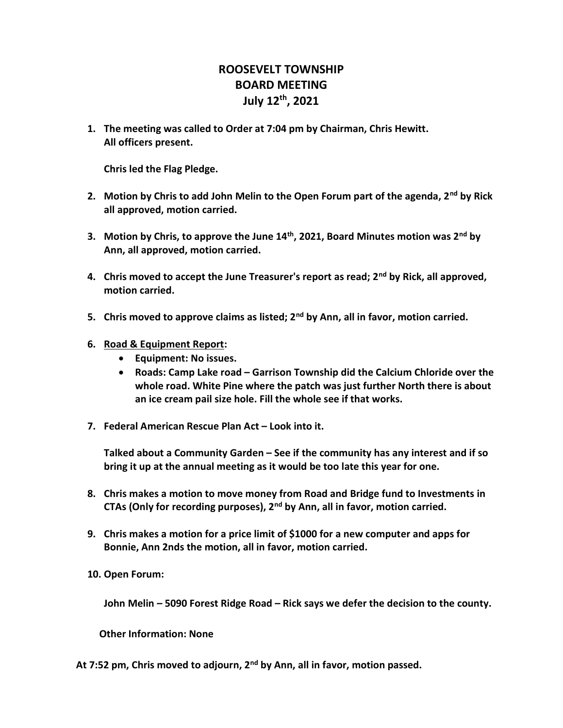## ROOSEVELT TOWNSHIP BOARD MEETING July 12th, 2021

1. The meeting was called to Order at 7:04 pm by Chairman, Chris Hewitt. All officers present.

Chris led the Flag Pledge.

- 2. Motion by Chris to add John Melin to the Open Forum part of the agenda,  $2<sup>nd</sup>$  by Rick all approved, motion carried.
- 3. Motion by Chris, to approve the June  $14<sup>th</sup>$ , 2021, Board Minutes motion was  $2<sup>nd</sup>$  by Ann, all approved, motion carried.
- 4. Chris moved to accept the June Treasurer's report as read;  $2<sup>nd</sup>$  by Rick, all approved, motion carried.
- 5. Chris moved to approve claims as listed;  $2<sup>nd</sup>$  by Ann, all in favor, motion carried.
- 6. Road & Equipment Report:
	- Equipment: No issues.
	- Roads: Camp Lake road Garrison Township did the Calcium Chloride over the whole road. White Pine where the patch was just further North there is about an ice cream pail size hole. Fill the whole see if that works.
- 7. Federal American Rescue Plan Act Look into it.

Talked about a Community Garden – See if the community has any interest and if so bring it up at the annual meeting as it would be too late this year for one.

- 8. Chris makes a motion to move money from Road and Bridge fund to Investments in CTAs (Only for recording purposes), 2nd by Ann, all in favor, motion carried.
- 9. Chris makes a motion for a price limit of \$1000 for a new computer and apps for Bonnie, Ann 2nds the motion, all in favor, motion carried.
- 10. Open Forum:

John Melin – 5090 Forest Ridge Road – Rick says we defer the decision to the county.

Other Information: None

At 7:52 pm, Chris moved to adjourn, 2<sup>nd</sup> by Ann, all in favor, motion passed.